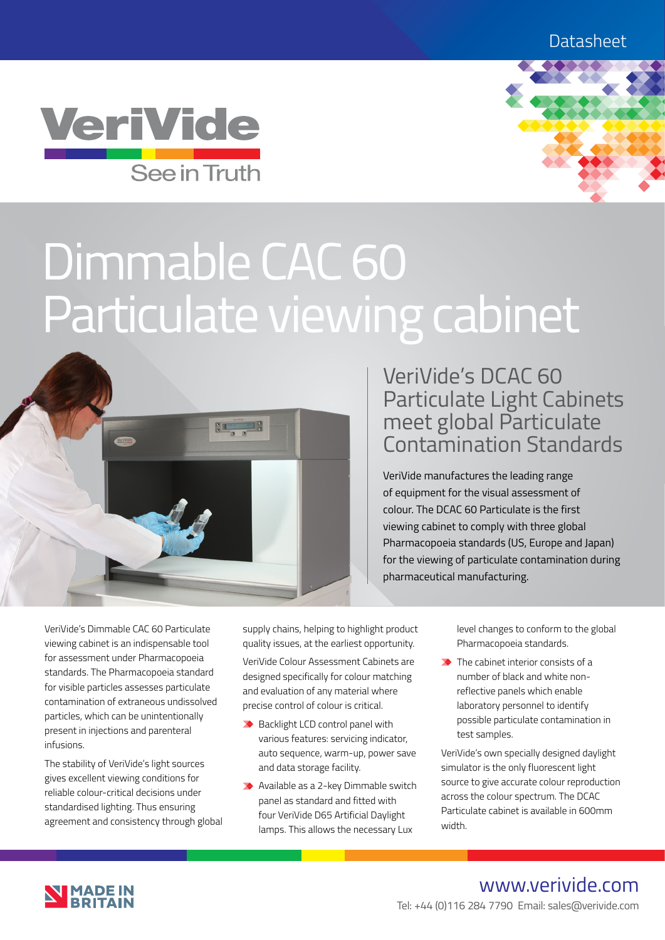



# Dimmable CAC 60 Particulate viewing cabinet



# VeriVide's DCAC 60 Particulate Light Cabinets meet global Particulate Contamination Standards

VeriVide manufactures the leading range of equipment for the visual assessment of colour. The DCAC 60 Particulate is the first viewing cabinet to comply with three global Pharmacopoeia standards (US, Europe and Japan) for the viewing of particulate contamination during pharmaceutical manufacturing.

VeriVide's Dimmable CAC 60 Particulate viewing cabinet is an indispensable tool for assessment under Pharmacopoeia standards. The Pharmacopoeia standard for visible particles assesses particulate contamination of extraneous undissolved particles, which can be unintentionally present in injections and parenteral infusions.

The stability of VeriVide's light sources gives excellent viewing conditions for reliable colour-critical decisions under standardised lighting. Thus ensuring agreement and consistency through global supply chains, helping to highlight product quality issues, at the earliest opportunity.

VeriVide Colour Assessment Cabinets are designed specifically for colour matching and evaluation of any material where precise control of colour is critical.

- ◆ Backlight LCD control panel with various features: servicing indicator, auto sequence, warm-up, power save and data storage facility.
- ◆ Available as a 2-key Dimmable switch panel as standard and fitted with four VeriVide D65 Artificial Daylight lamps. This allows the necessary Lux

level changes to conform to the global Pharmacopoeia standards.

 $\rightarrow$  The cabinet interior consists of a number of black and white nonreflective panels which enable laboratory personnel to identify possible particulate contamination in test samples.

VeriVide's own specially designed daylight simulator is the only fluorescent light source to give accurate colour reproduction across the colour spectrum. The DCAC Particulate cabinet is available in 600mm width.



# www.verivide.com Tel: +44 (0)116 284 7790 Email: sales@verivide.com